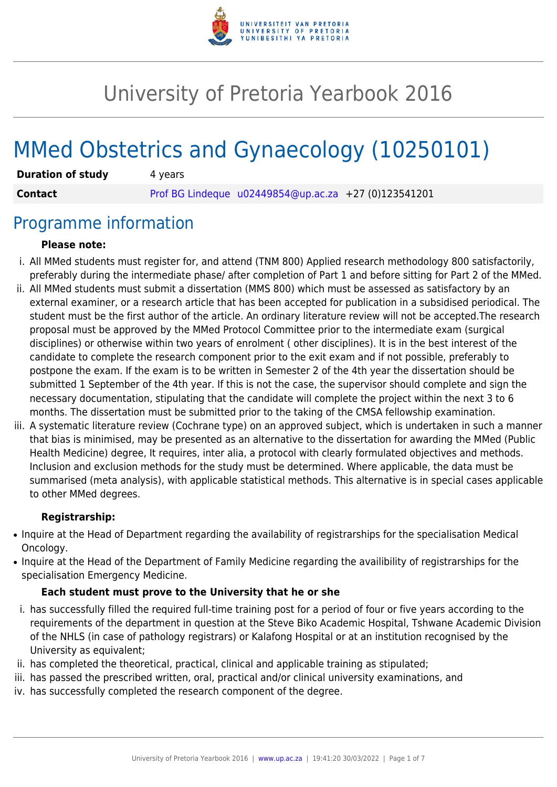

# University of Pretoria Yearbook 2016

# MMed Obstetrics and Gynaecology (10250101)

| <b>Duration of study</b> | 4 years                                                |  |
|--------------------------|--------------------------------------------------------|--|
| <b>Contact</b>           | Prof BG Lindeque $u02449854@up.ac.za$ +27 (0)123541201 |  |

### Programme information

#### **Please note:**

- i. All MMed students must register for, and attend (TNM 800) Applied research methodology 800 satisfactorily, preferably during the intermediate phase/ after completion of Part 1 and before sitting for Part 2 of the MMed.
- ii. All MMed students must submit a dissertation (MMS 800) which must be assessed as satisfactory by an external examiner, or a research article that has been accepted for publication in a subsidised periodical. The student must be the first author of the article. An ordinary literature review will not be accepted.The research proposal must be approved by the MMed Protocol Committee prior to the intermediate exam (surgical disciplines) or otherwise within two years of enrolment ( other disciplines). It is in the best interest of the candidate to complete the research component prior to the exit exam and if not possible, preferably to postpone the exam. If the exam is to be written in Semester 2 of the 4th year the dissertation should be submitted 1 September of the 4th year. If this is not the case, the supervisor should complete and sign the necessary documentation, stipulating that the candidate will complete the project within the next 3 to 6 months. The dissertation must be submitted prior to the taking of the CMSA fellowship examination.
- iii. A systematic literature review (Cochrane type) on an approved subject, which is undertaken in such a manner that bias is minimised, may be presented as an alternative to the dissertation for awarding the MMed (Public Health Medicine) degree, It requires, inter alia, a protocol with clearly formulated objectives and methods. Inclusion and exclusion methods for the study must be determined. Where applicable, the data must be summarised (meta analysis), with applicable statistical methods. This alternative is in special cases applicable to other MMed degrees.

#### **Registrarship:**

- Inquire at the Head of Department regarding the availability of registrarships for the specialisation Medical Oncology.
- Inquire at the Head of the Department of Family Medicine regarding the availibility of registrarships for the specialisation Emergency Medicine.

#### **Each student must prove to the University that he or she**

- i. has successfully filled the required full-time training post for a period of four or five years according to the requirements of the department in question at the Steve Biko Academic Hospital, Tshwane Academic Division of the NHLS (in case of pathology registrars) or Kalafong Hospital or at an institution recognised by the University as equivalent;
- ii. has completed the theoretical, practical, clinical and applicable training as stipulated;
- iii. has passed the prescribed written, oral, practical and/or clinical university examinations, and
- iv. has successfully completed the research component of the degree.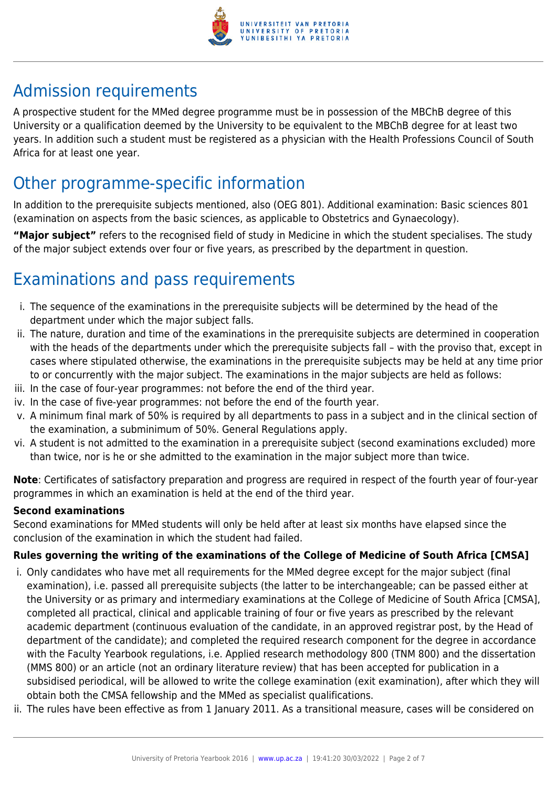

# Admission requirements

A prospective student for the MMed degree programme must be in possession of the MBChB degree of this University or a qualification deemed by the University to be equivalent to the MBChB degree for at least two years. In addition such a student must be registered as a physician with the Health Professions Council of South Africa for at least one year.

## Other programme-specific information

In addition to the prerequisite subjects mentioned, also (OEG 801). Additional examination: Basic sciences 801 (examination on aspects from the basic sciences, as applicable to Obstetrics and Gynaecology).

**"Major subject"** refers to the recognised field of study in Medicine in which the student specialises. The study of the major subject extends over four or five years, as prescribed by the department in question.

# Examinations and pass requirements

- i. The sequence of the examinations in the prerequisite subjects will be determined by the head of the department under which the major subject falls.
- ii. The nature, duration and time of the examinations in the prerequisite subjects are determined in cooperation with the heads of the departments under which the prerequisite subjects fall – with the proviso that, except in cases where stipulated otherwise, the examinations in the prerequisite subjects may be held at any time prior to or concurrently with the major subject. The examinations in the major subjects are held as follows:
- iii. In the case of four-year programmes: not before the end of the third year.
- iv. In the case of five-year programmes: not before the end of the fourth year.
- v. A minimum final mark of 50% is required by all departments to pass in a subject and in the clinical section of the examination, a subminimum of 50%. General Regulations apply.
- vi. A student is not admitted to the examination in a prerequisite subject (second examinations excluded) more than twice, nor is he or she admitted to the examination in the major subject more than twice.

**Note**: Certificates of satisfactory preparation and progress are required in respect of the fourth year of four-year programmes in which an examination is held at the end of the third year.

#### **Second examinations**

Second examinations for MMed students will only be held after at least six months have elapsed since the conclusion of the examination in which the student had failed.

#### **Rules governing the writing of the examinations of the College of Medicine of South Africa [CMSA]**

- i. Only candidates who have met all requirements for the MMed degree except for the major subject (final examination), i.e. passed all prerequisite subjects (the latter to be interchangeable; can be passed either at the University or as primary and intermediary examinations at the College of Medicine of South Africa [CMSA], completed all practical, clinical and applicable training of four or five years as prescribed by the relevant academic department (continuous evaluation of the candidate, in an approved registrar post, by the Head of department of the candidate); and completed the required research component for the degree in accordance with the Faculty Yearbook regulations, i.e. Applied research methodology 800 (TNM 800) and the dissertation (MMS 800) or an article (not an ordinary literature review) that has been accepted for publication in a subsidised periodical, will be allowed to write the college examination (exit examination), after which they will obtain both the CMSA fellowship and the MMed as specialist qualifications.
- ii. The rules have been effective as from 1 January 2011. As a transitional measure, cases will be considered on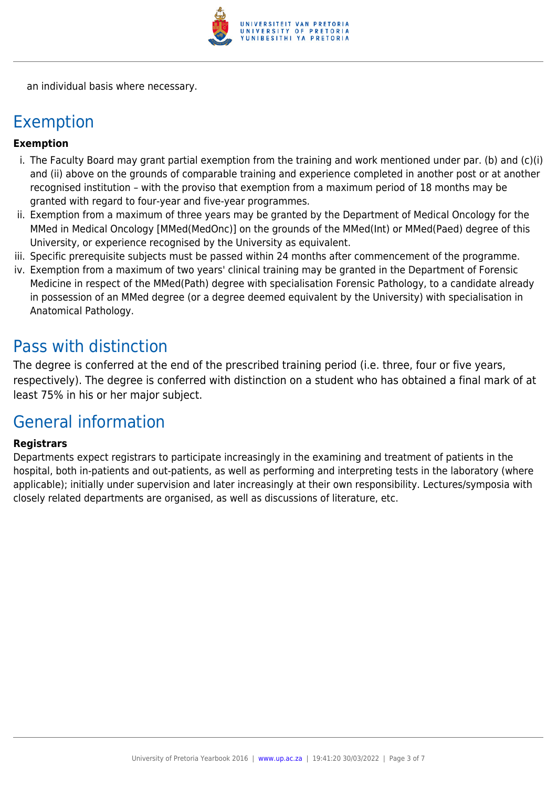

an individual basis where necessary.

### Exemption

#### **Exemption**

- i. The Faculty Board may grant partial exemption from the training and work mentioned under par. (b) and (c)(i) and (ii) above on the grounds of comparable training and experience completed in another post or at another recognised institution – with the proviso that exemption from a maximum period of 18 months may be granted with regard to four-year and five-year programmes.
- ii. Exemption from a maximum of three years may be granted by the Department of Medical Oncology for the MMed in Medical Oncology [MMed(MedOnc)] on the grounds of the MMed(Int) or MMed(Paed) degree of this University, or experience recognised by the University as equivalent.
- iii. Specific prerequisite subjects must be passed within 24 months after commencement of the programme.
- iv. Exemption from a maximum of two years' clinical training may be granted in the Department of Forensic Medicine in respect of the MMed(Path) degree with specialisation Forensic Pathology, to a candidate already in possession of an MMed degree (or a degree deemed equivalent by the University) with specialisation in Anatomical Pathology.

### Pass with distinction

The degree is conferred at the end of the prescribed training period (i.e. three, four or five years, respectively). The degree is conferred with distinction on a student who has obtained a final mark of at least 75% in his or her major subject.

## General information

#### **Registrars**

Departments expect registrars to participate increasingly in the examining and treatment of patients in the hospital, both in-patients and out-patients, as well as performing and interpreting tests in the laboratory (where applicable); initially under supervision and later increasingly at their own responsibility. Lectures/symposia with closely related departments are organised, as well as discussions of literature, etc.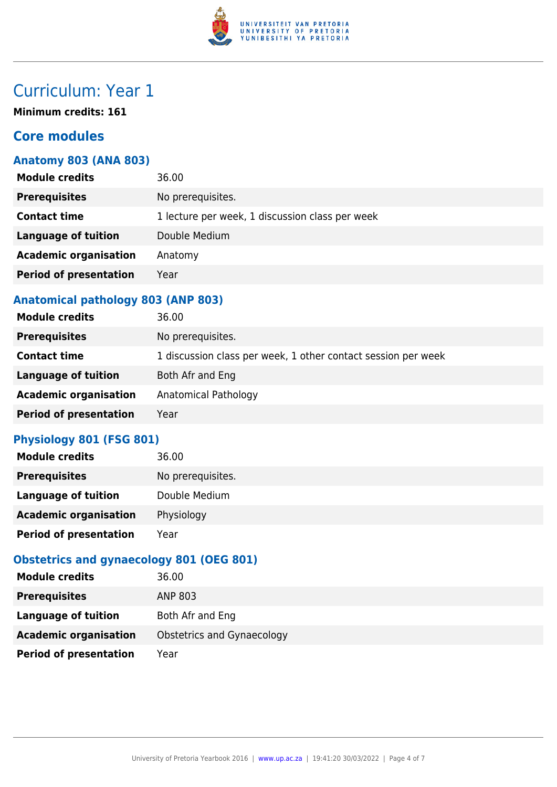

# Curriculum: Year 1

**Minimum credits: 161**

#### **Core modules**

#### **Anatomy 803 (ANA 803)**

| <b>Module credits</b>         | 36.00                                           |
|-------------------------------|-------------------------------------------------|
| <b>Prerequisites</b>          | No prerequisites.                               |
| <b>Contact time</b>           | 1 lecture per week, 1 discussion class per week |
| Language of tuition           | Double Medium                                   |
| <b>Academic organisation</b>  | Anatomy                                         |
| <b>Period of presentation</b> | Year                                            |
|                               |                                                 |

#### **Anatomical pathology 803 (ANP 803)**

| <b>Module credits</b>         | 36.00                                                         |
|-------------------------------|---------------------------------------------------------------|
| <b>Prerequisites</b>          | No prerequisites.                                             |
| <b>Contact time</b>           | 1 discussion class per week, 1 other contact session per week |
| <b>Language of tuition</b>    | Both Afr and Eng                                              |
| <b>Academic organisation</b>  | Anatomical Pathology                                          |
| <b>Period of presentation</b> | Year                                                          |

#### **Physiology 801 (FSG 801)**

| <b>Module credits</b>         | 36.00             |
|-------------------------------|-------------------|
| <b>Prerequisites</b>          | No prerequisites. |
| Language of tuition           | Double Medium     |
| <b>Academic organisation</b>  | Physiology        |
| <b>Period of presentation</b> | Year              |

#### **Obstetrics and gynaecology 801 (OEG 801)**

| <b>Module credits</b>         | 36.00                      |
|-------------------------------|----------------------------|
| <b>Prerequisites</b>          | ANP 803                    |
| Language of tuition           | Both Afr and Eng           |
| <b>Academic organisation</b>  | Obstetrics and Gynaecology |
| <b>Period of presentation</b> | Year                       |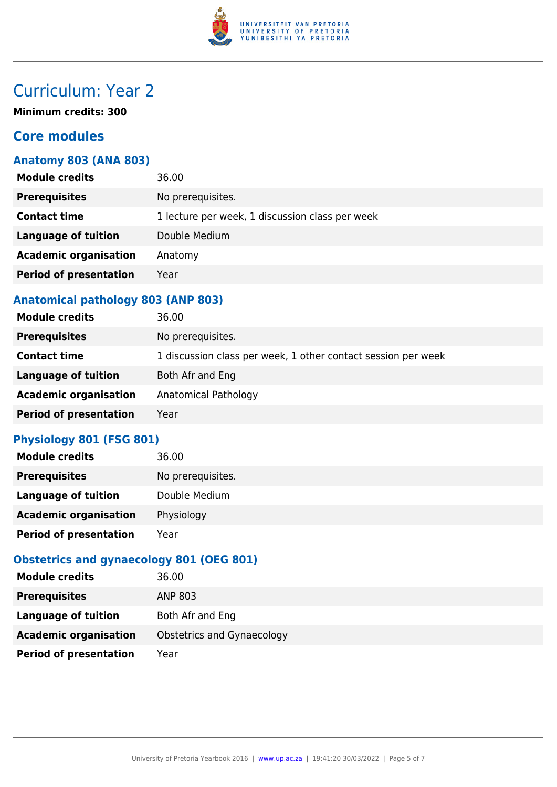

# Curriculum: Year 2

**Minimum credits: 300**

#### **Core modules**

#### **Anatomy 803 (ANA 803)**

| <b>Module credits</b>         | 36.00                                           |
|-------------------------------|-------------------------------------------------|
| <b>Prerequisites</b>          | No prerequisites.                               |
| <b>Contact time</b>           | 1 lecture per week, 1 discussion class per week |
| Language of tuition           | Double Medium                                   |
| <b>Academic organisation</b>  | Anatomy                                         |
| <b>Period of presentation</b> | Year                                            |
|                               |                                                 |

#### **Anatomical pathology 803 (ANP 803)**

| <b>Module credits</b>         | 36.00                                                         |
|-------------------------------|---------------------------------------------------------------|
| <b>Prerequisites</b>          | No prerequisites.                                             |
| <b>Contact time</b>           | 1 discussion class per week, 1 other contact session per week |
| <b>Language of tuition</b>    | Both Afr and Eng                                              |
| <b>Academic organisation</b>  | Anatomical Pathology                                          |
| <b>Period of presentation</b> | Year                                                          |

#### **Physiology 801 (FSG 801)**

| <b>Module credits</b>         | 36.00             |
|-------------------------------|-------------------|
| <b>Prerequisites</b>          | No prerequisites. |
| Language of tuition           | Double Medium     |
| <b>Academic organisation</b>  | Physiology        |
| <b>Period of presentation</b> | Year              |

#### **Obstetrics and gynaecology 801 (OEG 801)**

| <b>Module credits</b>         | 36.00                      |
|-------------------------------|----------------------------|
| <b>Prerequisites</b>          | ANP 803                    |
| Language of tuition           | Both Afr and Eng           |
| <b>Academic organisation</b>  | Obstetrics and Gynaecology |
| <b>Period of presentation</b> | Year                       |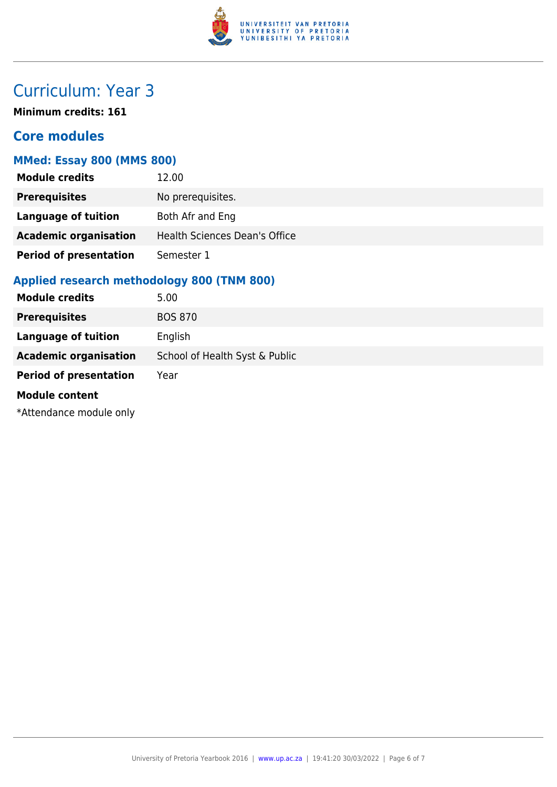

# Curriculum: Year 3

**Minimum credits: 161**

#### **Core modules**

#### **MMed: Essay 800 (MMS 800)**

| <b>Module credits</b>         | 12.00                                |
|-------------------------------|--------------------------------------|
| <b>Prerequisites</b>          | No prerequisites.                    |
| <b>Language of tuition</b>    | Both Afr and Eng                     |
| <b>Academic organisation</b>  | <b>Health Sciences Dean's Office</b> |
| <b>Period of presentation</b> | Semester 1                           |

#### **Applied research methodology 800 (TNM 800)**

| <b>Module credits</b>         | 5.00                           |
|-------------------------------|--------------------------------|
| <b>Prerequisites</b>          | <b>BOS 870</b>                 |
| <b>Language of tuition</b>    | English                        |
| <b>Academic organisation</b>  | School of Health Syst & Public |
| <b>Period of presentation</b> | Year                           |
| <b>Module content</b>         |                                |
| *Attendance module only       |                                |